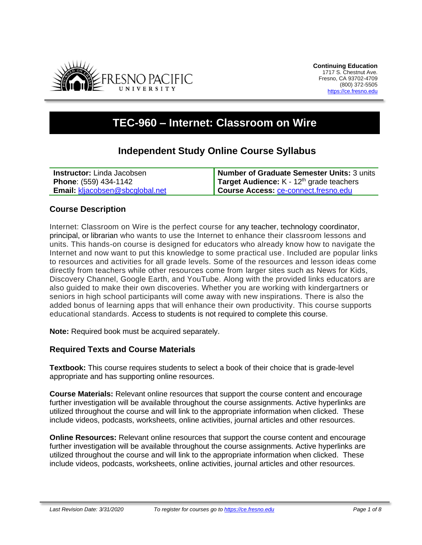

# **TEC-960 – Internet: Classroom on Wire**

# **Independent Study Online Course Syllabus**

| <b>Instructor:</b> Linda Jacobsen      | Number of Graduate Semester Units: 3 units        |
|----------------------------------------|---------------------------------------------------|
| <b>Phone: (559) 434-1142</b>           | <b>Target Audience:</b> $K - 12th$ grade teachers |
| <b>Email: kljacobsen@sbcglobal.net</b> | Course Access: ce-connect.fresno.edu              |

## **Course Description**

Internet: Classroom on Wire is the perfect course for any teacher, technology coordinator, principal, or librarian who wants to use the Internet to enhance their classroom lessons and units. This hands-on course is designed for educators who already know how to navigate the Internet and now want to put this knowledge to some practical use. Included are popular links to resources and activities for all grade levels. Some of the resources and lesson ideas come directly from teachers while other resources come from larger sites such as News for Kids, Discovery Channel, Google Earth, and YouTube. Along with the provided links educators are also guided to make their own discoveries. Whether you are working with kindergartners or seniors in high school participants will come away with new inspirations. There is also the added bonus of learning apps that will enhance their own productivity. This course supports educational standards. Access to students is not required to complete this course.

**Note:** Required book must be acquired separately.

## **Required Texts and Course Materials**

**Textbook:** This course requires students to select a book of their choice that is grade-level appropriate and has supporting online resources.

**Course Materials:** Relevant online resources that support the course content and encourage further investigation will be available throughout the course assignments. Active hyperlinks are utilized throughout the course and will link to the appropriate information when clicked. These include videos, podcasts, worksheets, online activities, journal articles and other resources.

**Online Resources:** Relevant online resources that support the course content and encourage further investigation will be available throughout the course assignments. Active hyperlinks are utilized throughout the course and will link to the appropriate information when clicked. These include videos, podcasts, worksheets, online activities, journal articles and other resources.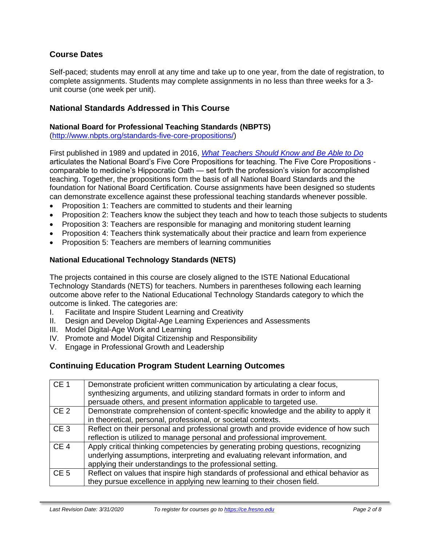## **Course Dates**

Self-paced; students may enroll at any time and take up to one year, from the date of registration, to complete assignments. Students may complete assignments in no less than three weeks for a 3 unit course (one week per unit).

#### **National Standards Addressed in This Course**

#### **National Board for Professional Teaching Standards (NBPTS)**

[\(http://www.nbpts.org/standards-five-core-propositions/\)](http://www.nbpts.org/standards-five-core-propositions/)

First published in 1989 and updated in 2016, *[What Teachers Should Know and Be Able to Do](http://www.accomplishedteacher.org/)* articulates the National Board's Five Core Propositions for teaching. The Five Core Propositions comparable to medicine's Hippocratic Oath — set forth the profession's vision for accomplished teaching. Together, the propositions form the basis of all National Board Standards and the foundation for National Board Certification. Course assignments have been designed so students can demonstrate excellence against these professional teaching standards whenever possible.

- Proposition 1: Teachers are committed to students and their learning
- Proposition 2: Teachers know the subject they teach and how to teach those subjects to students
- Proposition 3: Teachers are responsible for managing and monitoring student learning
- Proposition 4: Teachers think systematically about their practice and learn from experience
- Proposition 5: Teachers are members of learning communities

#### **National Educational Technology Standards (NETS)**

The projects contained in this course are closely aligned to the ISTE National Educational Technology Standards (NETS) for teachers. Numbers in parentheses following each learning outcome above refer to the National Educational Technology Standards category to which the outcome is linked. The categories are:

- I. Facilitate and Inspire Student Learning and Creativity
- II. Design and Develop Digital-Age Learning Experiences and Assessments
- III. Model Digital-Age Work and Learning
- IV. Promote and Model Digital Citizenship and Responsibility
- V. Engage in Professional Growth and Leadership

#### **Continuing Education Program Student Learning Outcomes**

| CE <sub>1</sub> | Demonstrate proficient written communication by articulating a clear focus,<br>synthesizing arguments, and utilizing standard formats in order to inform and<br>persuade others, and present information applicable to targeted use. |
|-----------------|--------------------------------------------------------------------------------------------------------------------------------------------------------------------------------------------------------------------------------------|
| CE <sub>2</sub> | Demonstrate comprehension of content-specific knowledge and the ability to apply it<br>in theoretical, personal, professional, or societal contexts.                                                                                 |
| CE <sub>3</sub> | Reflect on their personal and professional growth and provide evidence of how such<br>reflection is utilized to manage personal and professional improvement.                                                                        |
| CE <sub>4</sub> | Apply critical thinking competencies by generating probing questions, recognizing<br>underlying assumptions, interpreting and evaluating relevant information, and<br>applying their understandings to the professional setting.     |
| CE <sub>5</sub> | Reflect on values that inspire high standards of professional and ethical behavior as<br>they pursue excellence in applying new learning to their chosen field.                                                                      |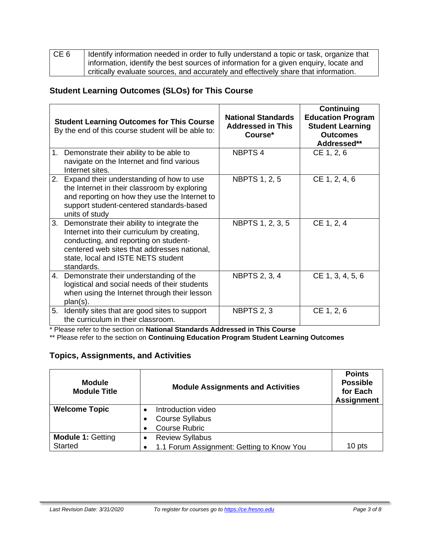| CE <sub>6</sub> | I dentify information needed in order to fully understand a topic or task, organize that |
|-----------------|------------------------------------------------------------------------------------------|
|                 | information, identify the best sources of information for a given enquiry, locate and    |
|                 | critically evaluate sources, and accurately and effectively share that information.      |

# **Student Learning Outcomes (SLOs) for This Course**

|    | <b>Student Learning Outcomes for This Course</b><br>By the end of this course student will be able to:                                                                                                                                | <b>National Standards</b><br><b>Addressed in This</b><br>Course* | Continuing<br><b>Education Program</b><br><b>Student Learning</b><br><b>Outcomes</b><br>Addressed** |
|----|---------------------------------------------------------------------------------------------------------------------------------------------------------------------------------------------------------------------------------------|------------------------------------------------------------------|-----------------------------------------------------------------------------------------------------|
| 1. | Demonstrate their ability to be able to<br>navigate on the Internet and find various<br>Internet sites.                                                                                                                               | NBPTS <sub>4</sub>                                               | CE 1, 2, 6                                                                                          |
| 2. | Expand their understanding of how to use<br>the Internet in their classroom by exploring<br>and reporting on how they use the Internet to<br>support student-centered standards-based<br>units of study                               | <b>NBPTS 1, 2, 5</b>                                             | CE 1, 2, 4, 6                                                                                       |
| 3. | Demonstrate their ability to integrate the<br>Internet into their curriculum by creating,<br>conducting, and reporting on student-<br>centered web sites that addresses national,<br>state, local and ISTE NETS student<br>standards. | NBPTS 1, 2, 3, 5                                                 | CE 1, 2, 4                                                                                          |
| 4. | Demonstrate their understanding of the<br>logistical and social needs of their students<br>when using the Internet through their lesson<br>plan(s).                                                                                   | <b>NBPTS 2, 3, 4</b>                                             | CE 1, 3, 4, 5, 6                                                                                    |
| 5. | Identify sites that are good sites to support<br>the curriculum in their classroom.                                                                                                                                                   | <b>NBPTS 2, 3</b>                                                | CE 1, 2, 6                                                                                          |

\* Please refer to the section on **National Standards Addressed in This Course**

\*\* Please refer to the section on **Continuing Education Program Student Learning Outcomes**

# **Topics, Assignments, and Activities**

| <b>Module</b><br><b>Module Title</b> | <b>Module Assignments and Activities</b>  | <b>Points</b><br><b>Possible</b><br>for Each<br><b>Assignment</b> |
|--------------------------------------|-------------------------------------------|-------------------------------------------------------------------|
| <b>Welcome Topic</b>                 | Introduction video<br>$\bullet$           |                                                                   |
|                                      | <b>Course Syllabus</b>                    |                                                                   |
|                                      | <b>Course Rubric</b>                      |                                                                   |
| <b>Module 1: Getting</b>             | <b>Review Syllabus</b><br>$\bullet$       |                                                                   |
| <b>Started</b>                       | 1.1 Forum Assignment: Getting to Know You | 10 pts                                                            |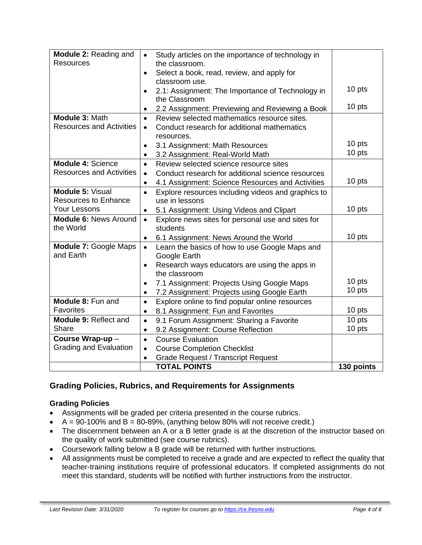| Module 2: Reading and<br><b>Resources</b> | $\bullet$                                                                                            | Study articles on the importance of technology in<br>the classroom. |            |
|-------------------------------------------|------------------------------------------------------------------------------------------------------|---------------------------------------------------------------------|------------|
|                                           | $\bullet$                                                                                            | Select a book, read, review, and apply for                          |            |
|                                           |                                                                                                      | classroom use.                                                      |            |
|                                           | $\bullet$                                                                                            | 2.1: Assignment: The Importance of Technology in<br>the Classroom   | 10 pts     |
|                                           | $\bullet$                                                                                            | 2.2 Assignment: Previewing and Reviewing a Book                     | 10 pts     |
| Module 3: Math                            | $\bullet$                                                                                            | Review selected mathematics resource sites.                         |            |
| <b>Resources and Activities</b>           | $\bullet$                                                                                            | Conduct research for additional mathematics                         |            |
|                                           |                                                                                                      | resources.                                                          |            |
|                                           | $\bullet$                                                                                            | 3.1 Assignment: Math Resources                                      | 10 pts     |
|                                           | $\bullet$                                                                                            | 3.2 Assignment: Real-World Math                                     | 10 pts     |
| <b>Module 4: Science</b>                  | Review selected science resource sites<br>$\bullet$                                                  |                                                                     |            |
| <b>Resources and Activities</b>           | $\bullet$                                                                                            | Conduct research for additional science resources                   |            |
|                                           | 4.1 Assignment: Science Resources and Activities<br>$\bullet$                                        |                                                                     | 10 pts     |
| Module 5: Visual                          | Explore resources including videos and graphics to<br>$\bullet$                                      |                                                                     |            |
| <b>Resources to Enhance</b>               | use in lessons                                                                                       |                                                                     |            |
| <b>Your Lessons</b>                       | $\bullet$                                                                                            | 5.1 Assignment: Using Videos and Clipart                            | 10 pts     |
| <b>Module 6: News Around</b>              | $\bullet$                                                                                            | Explore news sites for personal use and sites for                   |            |
| the World                                 |                                                                                                      | students                                                            |            |
|                                           | $\bullet$                                                                                            | 6.1 Assignment: News Around the World                               | 10 pts     |
| and Earth                                 | Module 7: Google Maps<br>Learn the basics of how to use Google Maps and<br>$\bullet$<br>Google Earth |                                                                     |            |
|                                           | $\bullet$                                                                                            | Research ways educators are using the apps in<br>the classroom      |            |
|                                           |                                                                                                      | 7.1 Assignment: Projects Using Google Maps                          | 10 pts     |
| $\bullet$                                 |                                                                                                      | 7.2 Assignment: Projects using Google Earth                         | 10 pts     |
| Module 8: Fun and                         | Explore online to find popular online resources<br>$\bullet$                                         |                                                                     |            |
| Favorites                                 | $\bullet$                                                                                            | 8.1 Assignment: Fun and Favorites                                   | 10 pts     |
| Module 9: Reflect and                     | $\bullet$                                                                                            | 9.1 Forum Assignment: Sharing a Favorite                            | 10 pts     |
| Share                                     | $\bullet$                                                                                            | 9.2 Assignment: Course Reflection                                   | 10 pts     |
| Course Wrap-up-                           | $\bullet$                                                                                            | <b>Course Evaluation</b>                                            |            |
| <b>Grading and Evaluation</b>             | $\bullet$                                                                                            | <b>Course Completion Checklist</b>                                  |            |
|                                           | $\bullet$                                                                                            | <b>Grade Request / Transcript Request</b>                           |            |
|                                           |                                                                                                      | <b>TOTAL POINTS</b>                                                 | 130 points |

# **Grading Policies, Rubrics, and Requirements for Assignments**

## **Grading Policies**

- Assignments will be graded per criteria presented in the course rubrics.
- $A = 90-100\%$  and  $B = 80-89\%$ , (anything below 80% will not receive credit.)
- The discernment between an A or a B letter grade is at the discretion of the instructor based on the quality of work submitted (see course rubrics).
- Coursework falling below a B grade will be returned with further instructions.
- All assignments must be completed to receive a grade and are expected to reflect the quality that teacher-training institutions require of professional educators. If completed assignments do not meet this standard, students will be notified with further instructions from the instructor.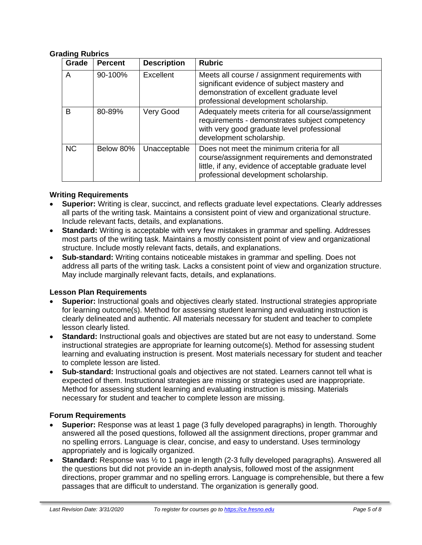#### **Grading Rubrics**

| Grade     | <b>Percent</b> | <b>Description</b> | <b>Rubric</b>                                                                                                                                                                                   |
|-----------|----------------|--------------------|-------------------------------------------------------------------------------------------------------------------------------------------------------------------------------------------------|
| A         | 90-100%        | Excellent          | Meets all course / assignment requirements with<br>significant evidence of subject mastery and<br>demonstration of excellent graduate level<br>professional development scholarship.            |
| B         | 80-89%         | Very Good          | Adequately meets criteria for all course/assignment<br>requirements - demonstrates subject competency<br>with very good graduate level professional<br>development scholarship.                 |
| <b>NC</b> | Below 80%      | Unacceptable       | Does not meet the minimum criteria for all<br>course/assignment requirements and demonstrated<br>little, if any, evidence of acceptable graduate level<br>professional development scholarship. |

#### **Writing Requirements**

- **Superior:** Writing is clear, succinct, and reflects graduate level expectations. Clearly addresses all parts of the writing task. Maintains a consistent point of view and organizational structure. Include relevant facts, details, and explanations.
- **Standard:** Writing is acceptable with very few mistakes in grammar and spelling. Addresses most parts of the writing task. Maintains a mostly consistent point of view and organizational structure. Include mostly relevant facts, details, and explanations.
- **Sub-standard:** Writing contains noticeable mistakes in grammar and spelling. Does not address all parts of the writing task. Lacks a consistent point of view and organization structure. May include marginally relevant facts, details, and explanations.

#### **Lesson Plan Requirements**

- **Superior:** Instructional goals and objectives clearly stated. Instructional strategies appropriate for learning outcome(s). Method for assessing student learning and evaluating instruction is clearly delineated and authentic. All materials necessary for student and teacher to complete lesson clearly listed.
- **Standard:** Instructional goals and objectives are stated but are not easy to understand. Some instructional strategies are appropriate for learning outcome(s). Method for assessing student learning and evaluating instruction is present. Most materials necessary for student and teacher to complete lesson are listed.
- **Sub-standard:** Instructional goals and objectives are not stated. Learners cannot tell what is expected of them. Instructional strategies are missing or strategies used are inappropriate. Method for assessing student learning and evaluating instruction is missing. Materials necessary for student and teacher to complete lesson are missing.

#### **Forum Requirements**

- **Superior:** Response was at least 1 page (3 fully developed paragraphs) in length. Thoroughly answered all the posed questions, followed all the assignment directions, proper grammar and no spelling errors. Language is clear, concise, and easy to understand. Uses terminology appropriately and is logically organized.
- **Standard:** Response was ½ to 1 page in length (2-3 fully developed paragraphs). Answered all the questions but did not provide an in-depth analysis, followed most of the assignment directions, proper grammar and no spelling errors. Language is comprehensible, but there a few passages that are difficult to understand. The organization is generally good.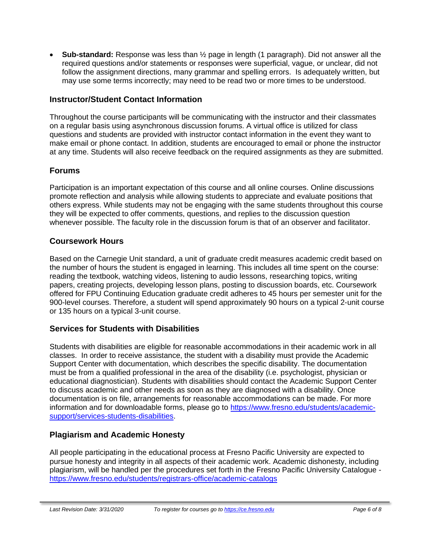• **Sub-standard:** Response was less than ½ page in length (1 paragraph). Did not answer all the required questions and/or statements or responses were superficial, vague, or unclear, did not follow the assignment directions, many grammar and spelling errors. Is adequately written, but may use some terms incorrectly; may need to be read two or more times to be understood.

## **Instructor/Student Contact Information**

Throughout the course participants will be communicating with the instructor and their classmates on a regular basis using asynchronous discussion forums. A virtual office is utilized for class questions and students are provided with instructor contact information in the event they want to make email or phone contact. In addition, students are encouraged to email or phone the instructor at any time. Students will also receive feedback on the required assignments as they are submitted.

## **Forums**

Participation is an important expectation of this course and all online courses. Online discussions promote reflection and analysis while allowing students to appreciate and evaluate positions that others express. While students may not be engaging with the same students throughout this course they will be expected to offer comments, questions, and replies to the discussion question whenever possible. The faculty role in the discussion forum is that of an observer and facilitator.

## **Coursework Hours**

Based on the Carnegie Unit standard, a unit of graduate credit measures academic credit based on the number of hours the student is engaged in learning. This includes all time spent on the course: reading the textbook, watching videos, listening to audio lessons, researching topics, writing papers, creating projects, developing lesson plans, posting to discussion boards, etc. Coursework offered for FPU Continuing Education graduate credit adheres to 45 hours per semester unit for the 900-level courses. Therefore, a student will spend approximately 90 hours on a typical 2-unit course or 135 hours on a typical 3-unit course.

## **Services for Students with Disabilities**

Students with disabilities are eligible for reasonable accommodations in their academic work in all classes. In order to receive assistance, the student with a disability must provide the Academic Support Center with documentation, which describes the specific disability. The documentation must be from a qualified professional in the area of the disability (i.e. psychologist, physician or educational diagnostician). Students with disabilities should contact the Academic Support Center to discuss academic and other needs as soon as they are diagnosed with a disability. Once documentation is on file, arrangements for reasonable accommodations can be made. For more information and for downloadable forms, please go to [https://www.fresno.edu/students/academic](https://www.fresno.edu/students/academic-support/services-students-disabilities)[support/services-students-disabilities.](https://www.fresno.edu/students/academic-support/services-students-disabilities)

## **Plagiarism and Academic Honesty**

All people participating in the educational process at Fresno Pacific University are expected to pursue honesty and integrity in all aspects of their academic work. Academic dishonesty, including plagiarism, will be handled per the procedures set forth in the Fresno Pacific University Catalogue <https://www.fresno.edu/students/registrars-office/academic-catalogs>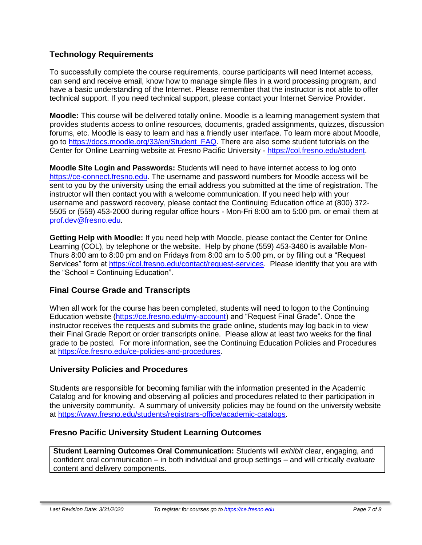## **Technology Requirements**

To successfully complete the course requirements, course participants will need Internet access, can send and receive email, know how to manage simple files in a word processing program, and have a basic understanding of the Internet. Please remember that the instructor is not able to offer technical support. If you need technical support, please contact your Internet Service Provider.

**Moodle:** This course will be delivered totally online. Moodle is a learning management system that provides students access to online resources, documents, graded assignments, quizzes, discussion forums, etc. Moodle is easy to learn and has a friendly user interface. To learn more about Moodle, go to [https://docs.moodle.org/33/en/Student\\_FAQ.](https://docs.moodle.org/33/en/Student_FAQ) There are also some student tutorials on the Center for Online Learning website at Fresno Pacific University - [https://col.fresno.edu/student.](https://col.fresno.edu/student)

**Moodle Site Login and Passwords:** Students will need to have internet access to log onto [https://ce-connect.fresno.edu.](https://ce-connect.fresno.edu/) The username and password numbers for Moodle access will be sent to you by the university using the email address you submitted at the time of registration. The instructor will then contact you with a welcome communication. If you need help with your username and password recovery, please contact the Continuing Education office at (800) 372- 5505 or (559) 453-2000 during regular office hours - Mon-Fri 8:00 am to 5:00 pm. or email them at [prof.dev@fresno.edu.](mailto:prof.dev@fresno.edu)

**Getting Help with Moodle:** If you need help with Moodle, please contact the Center for Online Learning (COL), by telephone or the website. Help by phone (559) 453-3460 is available Mon-Thurs 8:00 am to 8:00 pm and on Fridays from 8:00 am to 5:00 pm, or by filling out a "Request Services" form at [https://col.fresno.edu/contact/request-services.](https://col.fresno.edu/contact/request-services) Please identify that you are with the "School = Continuing Education".

## **Final Course Grade and Transcripts**

When all work for the course has been completed, students will need to logon to the Continuing Education website [\(https://ce.fresno.edu/my-account\)](https://ce.fresno.edu/my-account) and "Request Final Grade". Once the instructor receives the requests and submits the grade online, students may log back in to view their Final Grade Report or order transcripts online. Please allow at least two weeks for the final grade to be posted. For more information, see the Continuing Education Policies and Procedures at [https://ce.fresno.edu/ce-policies-and-procedures.](https://ce.fresno.edu/ce-policies-and-procedures)

## **University Policies and Procedures**

Students are responsible for becoming familiar with the information presented in the Academic Catalog and for knowing and observing all policies and procedures related to their participation in the university community. A summary of university policies may be found on the university website at [https://www.fresno.edu/students/registrars-office/academic-catalogs.](https://www.fresno.edu/students/registrars-office/academic-catalogs)

## **Fresno Pacific University Student Learning Outcomes**

**Student Learning Outcomes Oral Communication:** Students will *exhibit* clear, engaging, and confident oral communication – in both individual and group settings – and will critically *evaluate*  content and delivery components.